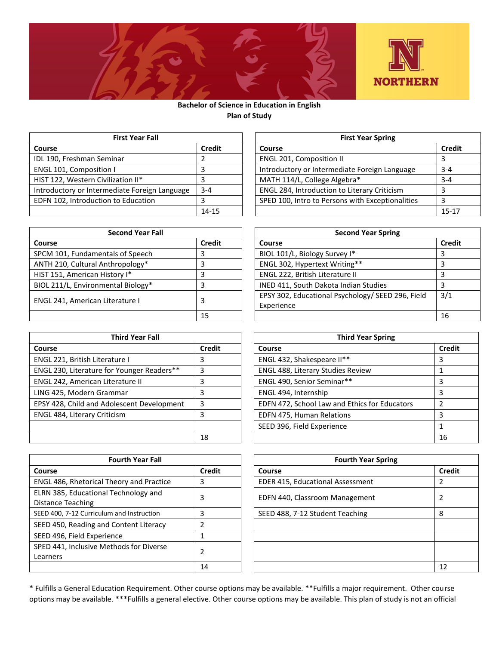

## **Bachelor of Science in Education in English Plan of Study**

| <b>First Year Fall</b>                        |               | <b>First Year Spring</b>                         |               |
|-----------------------------------------------|---------------|--------------------------------------------------|---------------|
| Course                                        | <b>Credit</b> | Course                                           | <b>Credit</b> |
| IDL 190, Freshman Seminar                     |               | <b>ENGL 201, Composition II</b>                  |               |
| ENGL 101, Composition I                       |               | Introductory or Intermediate Foreign Language    | $3 - 4$       |
| HIST 122, Western Civilization II*            |               | MATH 114/L, College Algebra*                     | $3 - 4$       |
| Introductory or Intermediate Foreign Language | $3 - 4$       | ENGL 284, Introduction to Literary Criticism     |               |
| EDFN 102, Introduction to Education           |               | SPED 100, Intro to Persons with Exceptionalities |               |
|                                               | 14-15         |                                                  | $15 - 17$     |

| <b>Second Year Fall</b>            | <b>Second Year Spring</b> |                                                                 |               |
|------------------------------------|---------------------------|-----------------------------------------------------------------|---------------|
| Course                             | <b>Credit</b>             | Course                                                          | <b>Credit</b> |
| SPCM 101, Fundamentals of Speech   |                           | BIOL 101/L, Biology Survey I*                                   |               |
| ANTH 210, Cultural Anthropology*   |                           | ENGL 302, Hypertext Writing**                                   |               |
| HIST 151, American History I*      |                           | ENGL 222, British Literature II                                 |               |
| BIOL 211/L, Environmental Biology* |                           | INED 411, South Dakota Indian Studies                           |               |
| ENGL 241, American Literature I    |                           | EPSY 302, Educational Psychology/ SEED 296, Field<br>Experience | 3/1           |
|                                    | 15                        |                                                                 | 16            |

| <b>Third Year Fall</b>                     |        | <b>Third Year Spring</b>                      |               |
|--------------------------------------------|--------|-----------------------------------------------|---------------|
| Course                                     | Credit | Course                                        | <b>Credit</b> |
| ENGL 221, British Literature I             | 3      | ENGL 432, Shakespeare II**                    | 3             |
| ENGL 230, Literature for Younger Readers** | 3      | ENGL 488, Literary Studies Review             |               |
| ENGL 242, American Literature II           | 3      | ENGL 490, Senior Seminar**                    |               |
| LING 425, Modern Grammar                   | 3      | ENGL 494, Internship                          |               |
| EPSY 428, Child and Adolescent Development | 3      | EDFN 472, School Law and Ethics for Educators |               |
| ENGL 484, Literary Criticism               | 3      | EDFN 475, Human Relations                     |               |
|                                            |        | SEED 396, Field Experience                    |               |
|                                            | 18     |                                               | 16            |

| <b>Fourth Year Fall</b>                                   |               | <b>Fourth Year Spring</b>        |               |
|-----------------------------------------------------------|---------------|----------------------------------|---------------|
| Course                                                    | <b>Credit</b> | Course                           | <b>Credit</b> |
| <b>ENGL 486, Rhetorical Theory and Practice</b>           | 3             | EDER 415, Educational Assessment |               |
| ELRN 385, Educational Technology and<br>Distance Teaching | 3             | EDFN 440, Classroom Management   |               |
| SEED 400, 7-12 Curriculum and Instruction                 | 3             | SEED 488, 7-12 Student Teaching  | 8             |
| SEED 450, Reading and Content Literacy                    | 2             |                                  |               |
| SEED 496, Field Experience                                |               |                                  |               |
| SPED 441, Inclusive Methods for Diverse<br>Learners       | 2             |                                  |               |
|                                                           | 14            |                                  | 12            |

| <b>First Year Fall</b> |               | <b>First Year Spring</b>                         |               |  |
|------------------------|---------------|--------------------------------------------------|---------------|--|
|                        | <b>Credit</b> | Course                                           | <b>Credit</b> |  |
| nar                    |               | <b>ENGL 201, Composition II</b>                  |               |  |
|                        |               | Introductory or Intermediate Foreign Language    | $3 - 4$       |  |
| zation II*             |               | MATH 114/L, College Algebra*                     | $3 - 4$       |  |
| diate Foreign Language | $3 - 4$       | ENGL 284, Introduction to Literary Criticism     |               |  |
| to Education           |               | SPED 100, Intro to Persons with Exceptionalities |               |  |
|                        | $14 - 15$     |                                                  | $15 - 17$     |  |

| <b>Second Year Fall</b> |               | <b>Second Year Spring</b>                         |               |  |
|-------------------------|---------------|---------------------------------------------------|---------------|--|
|                         | <b>Credit</b> | Course                                            | <b>Credit</b> |  |
| als of Speech           |               | BIOL 101/L, Biology Survey I*                     |               |  |
| thropology*             |               | ENGL 302, Hypertext Writing**                     |               |  |
| story I*                |               | ENGL 222, British Literature II                   |               |  |
| ntal Biology*           |               | INED 411, South Dakota Indian Studies             |               |  |
|                         |               | EPSY 302, Educational Psychology/ SEED 296, Field | 3/1           |  |
| terature I              |               | Experience                                        |               |  |
|                         | 15            |                                                   | 16            |  |

| Third Year Fall      |               | <b>Third Year Spring</b>                      |               |  |
|----------------------|---------------|-----------------------------------------------|---------------|--|
|                      | <b>Credit</b> | <b>Course</b>                                 | <b>Credit</b> |  |
| ture I               | 3             | ENGL 432, Shakespeare II**                    | 3             |  |
| r Younger Readers**  | 3             | <b>ENGL 488, Literary Studies Review</b>      |               |  |
| erature II           | 3             | ENGL 490, Senior Seminar**                    |               |  |
| nmar                 | 3             | ENGL 494, Internship                          |               |  |
| blescent Development | 3             | EDFN 472, School Law and Ethics for Educators | っ             |  |
| cism                 | 3             | EDFN 475, Human Relations                     | 3             |  |
|                      |               | SEED 396, Field Experience                    |               |  |
|                      | 18            |                                               | 16            |  |

| Fourth Year Fall   |               | <b>Fourth Year Spring</b>               |               |  |
|--------------------|---------------|-----------------------------------------|---------------|--|
|                    | <b>Credit</b> | Course                                  | <b>Credit</b> |  |
| heory and Practice | 3             | <b>EDER 415, Educational Assessment</b> |               |  |
| Technology and     | 3             | EDFN 440, Classroom Management          |               |  |
| m and Instruction  | 3             | SEED 488, 7-12 Student Teaching         | 8             |  |
| Content Literacy   | 2             |                                         |               |  |
| ence               |               |                                         |               |  |
| thods for Diverse  | 2             |                                         |               |  |
|                    | 14            |                                         | 12            |  |

\* Fulfills a General Education Requirement. Other course options may be available. \*\*Fulfills a major requirement. Other course options may be available. \*\*\*Fulfills a general elective. Other course options may be available. This plan of study is not an official